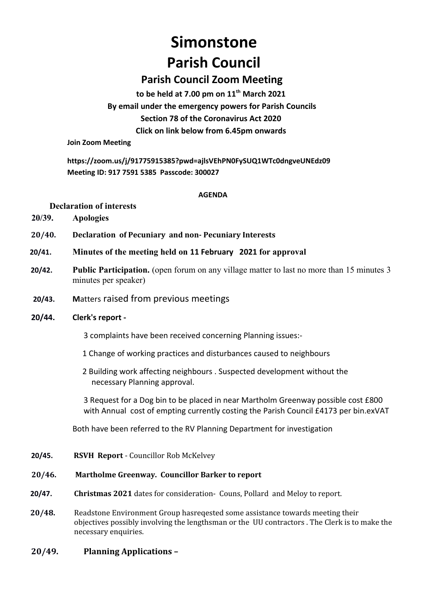# **Simonstone Parish Council**

## **Parish Council Zoom Meeting**

**to be held at 7.00 pm on 11th March 2021 By email under the emergency powers for Parish Councils Section 78 of the Coronavirus Act 2020 Click on link below from 6.45pm onwards** 

**Join Zoom Meeting**

**https://zoom.us/j/91775915385?pwd=ajlsVEhPN0FySUQ1WTc0dngveUNEdz09 Meeting ID: 917 7591 5385 Passcode: 300027**

#### **AGENDA**

### **Declaration of interests**

- **20/39. Apologies**
- **20/40. Declaration of Pecuniary and non- Pecuniary Interests**
- **20/41. Minutes of the meeting held on 11 February 2021 for approval**
- **20/42. Public Participation.** (open forum on any village matter to last no more than 15 minutes 3 minutes per speaker)
- **20/43. M**atters raised from previous meetings

### **20/44. Clerk's report -**

- 3 complaints have been received concerning Planning issues:-
- 1 Change of working practices and disturbances caused to neighbours
- 2 Building work affecting neighbours . Suspected development without the necessary Planning approval.

3 Request for a Dog bin to be placed in near Martholm Greenway possible cost £800 with Annual cost of empting currently costing the Parish Council £4173 per bin.exVAT

Both have been referred to the RV Planning Department for investigation

**20/45. RSVH Report** - Councillor Rob McKelvey

#### **20/46. Martholme Greenway. Councillor Barker to report**

- **20/47. Christmas 2021** dates for consideration- Couns, Pollard and Meloy to report.
- **20/48.** Readstone Environment Group hasreqested some assistance towards meeting their objectives possibly involving the lengthsman or the UU contractors . The Clerk is to make the necessary enquiries.

### **20/49. Planning Applications –**